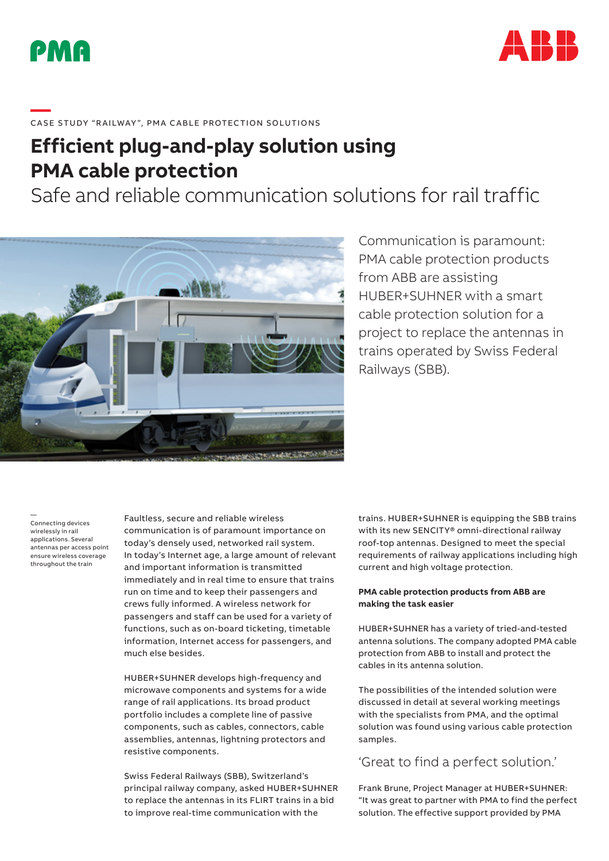



# ——<br>CASE STUDY "RAILWAY", PMA CABLE PROTECTION SOLUTIONS

## **Efficient plug-and-play solution using PMA cable protection**

Safe and reliable communication solutions for rail traffic



### Communication is paramount: PMA cable protection products from ABB are assisting HUBER+SUHNER with a smart cable protection solution for a project to replace the antennas in trains operated by Swiss Federal Railways (SBB).

— Connecting devices wirelessly in rail applications. Several antennas per access point ensure wireless coverage throughout the train

Faultless, secure and reliable wireless communication is of paramount importance on today's densely used, networked rail system. In today's Internet age, a large amount of relevant and important information is transmitted immediately and in real time to ensure that trains run on time and to keep their passengers and crews fully informed. A wireless network for passengers and staff can be used for a variety of functions, such as on-board ticketing, timetable information, Internet access for passengers, and much else besides.

HUBER+SUHNER develops high-frequency and microwave components and systems for a wide range of rail applications. Its broad product portfolio includes a complete line of passive components, such as cables, connectors, cable assemblies, antennas, lightning protectors and resistive components.

Swiss Federal Railways (SBB), Switzerland's principal railway company, asked HUBER+SUHNER to replace the antennas in its FLIRT trains in a bid to improve real-time communication with the

trains. HUBER+SUHNER is equipping the SBB trains with its new SENCITY® omni-directional railway roof-top antennas. Designed to meet the special requirements of railway applications including high current and high voltage protection.

#### **PMA cable protection products from ABB are making the task easier**

HUBER+SUHNER has a variety of tried-and-tested antenna solutions. The company adopted PMA cable protection from ABB to install and protect the cables in its antenna solution.

The possibilities of the intended solution were discussed in detail at several working meetings with the specialists from PMA, and the optimal solution was found using various cable protection samples.

#### 'Great to find a perfect solution.'

Frank Brune, Project Manager at HUBER+SUHNER: "It was great to partner with PMA to find the perfect solution. The effective support provided by PMA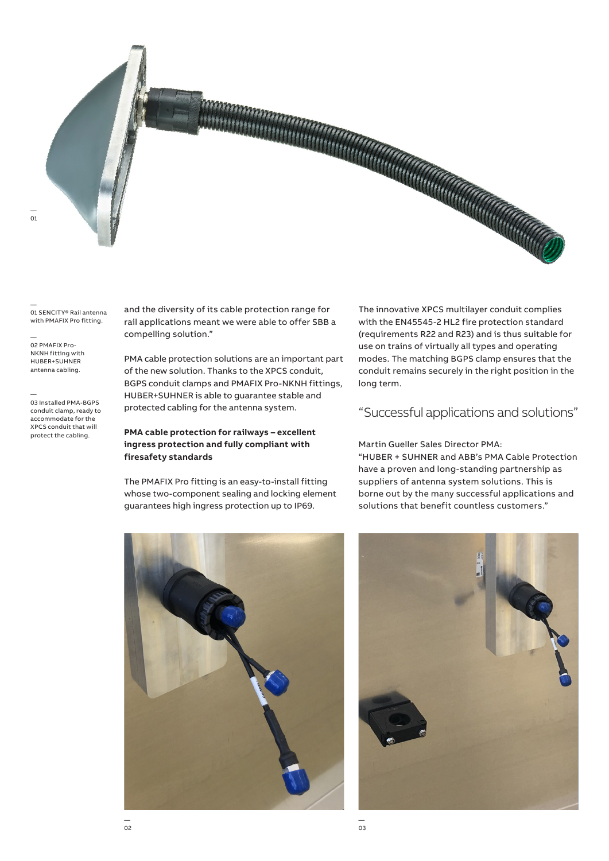

— 01 SENCITY® Rail antenna with PMAFIX Pro fitting.

— 02 PMAFIX Pro-NKNH fitting with HUBER+SUHNER antenna cabling.

— 03 Installed PMA-BGPS conduit clamp, ready to accommodate for the XPCS conduit that will protect the cabling.

and the diversity of its cable protection range for rail applications meant we were able to offer SBB a compelling solution."

PMA cable protection solutions are an important part of the new solution. Thanks to the XPCS conduit, BGPS conduit clamps and PMAFIX Pro-NKNH fittings, HUBER+SUHNER is able to guarantee stable and protected cabling for the antenna system.

#### **PMA cable protection for railways – excellent ingress protection and fully compliant with firesafety standards**

The PMAFIX Pro fitting is an easy-to-install fitting whose two-component sealing and locking element guarantees high ingress protection up to IP69.

The innovative XPCS multilayer conduit complies with the EN45545-2 HL2 fire protection standard (requirements R22 and R23) and is thus suitable for use on trains of virtually all types and operating modes. The matching BGPS clamp ensures that the conduit remains securely in the right position in the long term.

#### "Successful applications and solutions"

Martin Gueller Sales Director PMA: "HUBER + SUHNER and ABB's PMA Cable Protection have a proven and long-standing partnership as suppliers of antenna system solutions. This is borne out by the many successful applications and solutions that benefit countless customers."